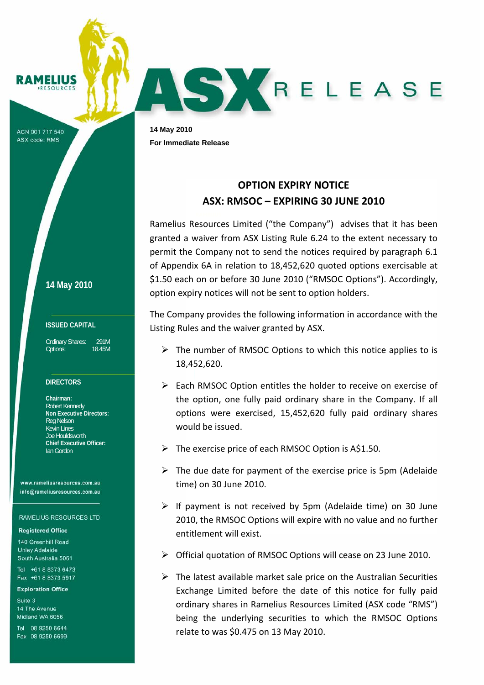MELIUS

ACN 001 717 540 ASX code: RMS

**14 May 2010**

## **ISSUED CAPITAL**

Ordinary Shares: 291M Options: 18.45M

# **DIRECTORS**

**Chairman:**  Robert Kennedy **Non Executive Directors:**  Reg Nelson Kevin Lines Joe Houldsworth **Chief Executive Officer:**  Ian Gordon

www.rameliusresources.com.au info@rameliusresources.com.au

#### **RAMELIUS RESOURCES LTD**

### **Registered Office**

140 Greenhill Road **Unley Adelaide** South Australia 5061

Tel +61 8 8373 6473 Fax +61 8 8373 5917

#### **Exploration Office**

Suite 3 14 The Avenue Midland WA 6056

Tel 08 9250 6644 Fax 08 9250 6699

**14 May 2010 For Immediate Release** 

# **OPTION EXPIRY NOTICE ASX: RMSOC – EXPIRING 30 JUNE 2010**

AS KRELEASE

Ramelius Resources Limited ("the Company") advises that it has been granted a waiver from ASX Listing Rule 6.24 to the extent necessary to permit the Company not to send the notices required by paragraph 6.1 of Appendix 6A in relation to 18,452,620 quoted options exercisable at \$1.50 each on or before 30 June 2010 ("RMSOC Options"). Accordingly, option expiry notices will not be sent to option holders.

The Company provides the following information in accordance with the Listing Rules and the waiver granted by ASX.

- $\triangleright$  The number of RMSOC Options to which this notice applies to is 18,452,620.
- $\triangleright$  Each RMSOC Option entitles the holder to receive on exercise of the option, one fully paid ordinary share in the Company. If all options were exercised, 15,452,620 fully paid ordinary shares would be issued.
- $\triangleright$  The exercise price of each RMSOC Option is A\$1.50.
- $\triangleright$  The due date for payment of the exercise price is 5pm (Adelaide time) on 30 June 2010.
- $\triangleright$  If payment is not received by 5pm (Adelaide time) on 30 June 2010, the RMSOC Options will expire with no value and no further entitlement will exist.
- ¾ Official quotation of RMSOC Options will cease on 23 June 2010.
- $\triangleright$  The latest available market sale price on the Australian Securities Exchange Limited before the date of this notice for fully paid ordinary shares in Ramelius Resources Limited (ASX code "RMS") being the underlying securities to which the RMSOC Options relate to was \$0.475 on 13 May 2010.